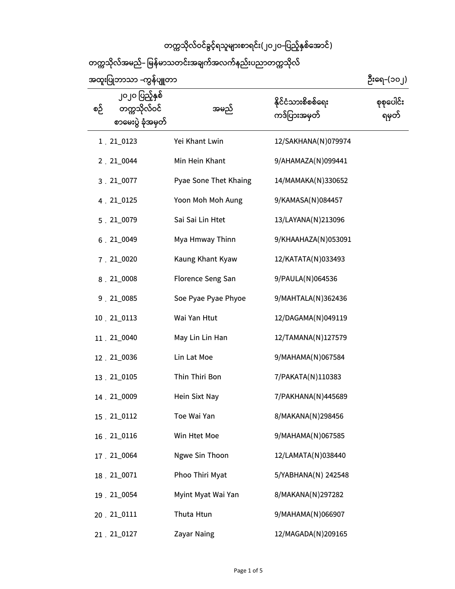## **တကသိုလ်ဝင်ခွင့်ရသူများစာရင်း(၂၀၂၀-ြပည့်ှစ ်ေအာင်)**

**တကသိုလ်အမည်- ြမန ်မာသတင်းအချက်အလက်နည်းပညာတကသိုလ်**

**အထူးြပဘာသာ -ကွန ်ပျတာ**

 **ဉီးေရ-(၁၀၂)**

| စဉ် | ၂၀၂၀ ပြည့်နှစ်<br>တက္ကသိုလ်ဝင်<br>စာမေးပွဲ ခုံအမှတ် | အမည်                  | နိုင်ငံသားစိစစ်ရေး<br>ကဒ်ပြားအမှတ် | စုစုပေါင်း<br>ရမှတ် |
|-----|-----------------------------------------------------|-----------------------|------------------------------------|---------------------|
|     | $1.21\_0123$                                        | Yei Khant Lwin        | 12/SAKHANA(N)079974                |                     |
|     | 2.21_0044                                           | Min Hein Khant        | 9/AHAMAZA(N)099441                 |                     |
|     | 3.21_0077                                           | Pyae Sone Thet Khaing | 14/MAMAKA(N)330652                 |                     |
|     | 4.21_0125                                           | Yoon Moh Moh Aung     | 9/KAMASA(N)084457                  |                     |
|     | 5.21_0079                                           | Sai Sai Lin Htet      | 13/LAYANA(N)213096                 |                     |
|     | $6.21\_0049$                                        | Mya Hmway Thinn       | 9/KHAAHAZA(N)053091                |                     |
|     | 7.21_0020                                           | Kaung Khant Kyaw      | 12/KATATA(N)033493                 |                     |
|     | $8.21\_0008$                                        | Florence Seng San     | 9/PAULA(N)064536                   |                     |
|     | 9.21_0085                                           | Soe Pyae Pyae Phyoe   | 9/MAHTALA(N)362436                 |                     |
|     | 10 21_0113                                          | Wai Yan Htut          | 12/DAGAMA(N)049119                 |                     |
|     | 11 . 21_0040                                        | May Lin Lin Han       | 12/TAMANA(N)127579                 |                     |
|     | 12.21_0036                                          | Lin Lat Moe           | 9/MAHAMA(N)067584                  |                     |
|     | 13.21_0105                                          | Thin Thiri Bon        | 7/PAKATA(N)110383                  |                     |
|     | 14.21_0009                                          | Hein Sixt Nay         | 7/PAKHANA(N)445689                 |                     |
|     | 15.21_0112                                          | Toe Wai Yan           | 8/MAKANA(N)298456                  |                     |
|     | 16 21 0116                                          | Win Htet Moe          | 9/MAHAMA(N)067585                  |                     |
|     | 17.21_0064                                          | Ngwe Sin Thoon        | 12/LAMATA(N)038440                 |                     |
|     | 18.21_0071                                          | Phoo Thiri Myat       | 5/YABHANA(N) 242548                |                     |
|     | 19.21_0054                                          | Myint Myat Wai Yan    | 8/MAKANA(N)297282                  |                     |
|     | 20.21_0111                                          | Thuta Htun            | 9/MAHAMA(N)066907                  |                     |
|     | 21 . 21 0127                                        | Zayar Naing           | 12/MAGADA(N)209165                 |                     |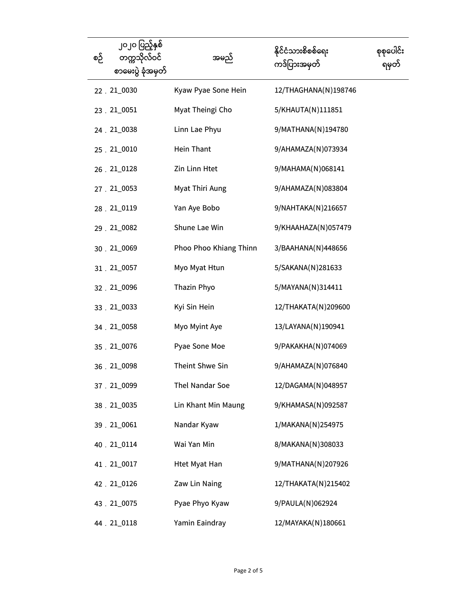| စဉ် | ၂၀၂၀ ပြည့်နှစ်<br>တက္ကသိုလ်ဝင်<br>စာမေးပွဲ ခုံအမှတ် | အမည်                   | နိုင်ငံသားစိစစ်ရေး<br>ကဒ်ပြားအမှတ် | စုစုပေါင်း<br>ရမှတ် |
|-----|-----------------------------------------------------|------------------------|------------------------------------|---------------------|
|     | 22.21_0030                                          | Kyaw Pyae Sone Hein    | 12/THAGHANA(N)198746               |                     |
|     | 23.21_0051                                          | Myat Theingi Cho       | 5/KHAUTA(N)111851                  |                     |
|     | 24 . 21_0038                                        | Linn Lae Phyu          | 9/MATHANA(N)194780                 |                     |
|     | 25.21_0010                                          | Hein Thant             | 9/AHAMAZA(N)073934                 |                     |
|     | 26.21_0128                                          | Zin Linn Htet          | 9/MAHAMA(N)068141                  |                     |
|     | 27.21_0053                                          | Myat Thiri Aung        | 9/AHAMAZA(N)083804                 |                     |
|     | 28.21_0119                                          | Yan Aye Bobo           | 9/NAHTAKA(N)216657                 |                     |
|     | 29.21_0082                                          | Shune Lae Win          | 9/KHAAHAZA(N)057479                |                     |
|     | 30.21_0069                                          | Phoo Phoo Khiang Thinn | 3/BAAHANA(N)448656                 |                     |
|     | 31.21_0057                                          | Myo Myat Htun          | 5/SAKANA(N)281633                  |                     |
|     | 32.21_0096                                          | Thazin Phyo            | 5/MAYANA(N)314411                  |                     |
|     | 33.21_0033                                          | Kyi Sin Hein           | 12/THAKATA(N)209600                |                     |
|     | 34 . 21_0058                                        | Myo Myint Aye          | 13/LAYANA(N)190941                 |                     |
|     | 35.21_0076                                          | Pyae Sone Moe          | 9/PAKAKHA(N)074069                 |                     |
|     | 36.21_0098                                          | Theint Shwe Sin        | 9/AHAMAZA(N)076840                 |                     |
|     | 37.21_0099                                          | Thel Nandar Soe        | 12/DAGAMA(N)048957                 |                     |
|     | 38.21_0035                                          | Lin Khant Min Maung    | 9/KHAMASA(N)092587                 |                     |
|     | 39 . 21_0061                                        | Nandar Kyaw            | 1/MAKANA(N)254975                  |                     |
|     | 40.21_0114                                          | Wai Yan Min            | 8/MAKANA(N)308033                  |                     |
|     | 41.21_0017                                          | <b>Htet Myat Han</b>   | 9/MATHANA(N)207926                 |                     |
|     | 42.21_0126                                          | Zaw Lin Naing          | 12/THAKATA(N)215402                |                     |
|     | 43.21_0075                                          | Pyae Phyo Kyaw         | 9/PAULA(N)062924                   |                     |
|     | 44 21_0118                                          | Yamin Eaindray         | 12/MAYAKA(N)180661                 |                     |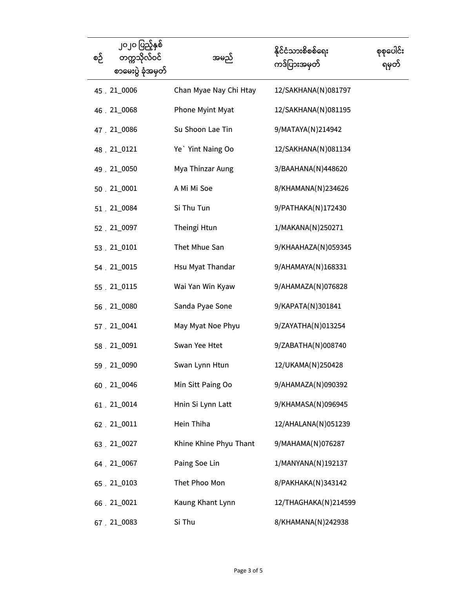| စဉ် | ၂၀၂၀ ပြည့်နှစ်<br>တက္ကသိုလ်ဝင်<br>စာမေးပွဲ ခုံအမှတ် | အမည်                   | နိုင်ငံသားစိစစ်ရေး<br>ကဒ်ပြားအမှတ် | စုစုပေါင်း<br>ရမှတ် |
|-----|-----------------------------------------------------|------------------------|------------------------------------|---------------------|
|     | 45 . 21_0006                                        | Chan Myae Nay Chi Htay | 12/SAKHANA(N)081797                |                     |
|     | 46.21_0068                                          | Phone Myint Myat       | 12/SAKHANA(N)081195                |                     |
|     | 47.21_0086                                          | Su Shoon Lae Tin       | 9/MATAYA(N)214942                  |                     |
|     | 48.21_0121                                          | Ye Yint Naing Oo       | 12/SAKHANA(N)081134                |                     |
|     | 49.21_0050                                          | Mya Thinzar Aung       | 3/BAAHANA(N)448620                 |                     |
|     | 50 . 21_0001                                        | A Mi Mi Soe            | 8/KHAMANA(N)234626                 |                     |
|     | 51.21_0084                                          | Si Thu Tun             | 9/PATHAKA(N)172430                 |                     |
|     | 52.21_0097                                          | Theingi Htun           | 1/MAKANA(N)250271                  |                     |
|     | 53.21_0101                                          | Thet Mhue San          | 9/KHAAHAZA(N)059345                |                     |
|     | 54 . 21_0015                                        | Hsu Myat Thandar       | 9/AHAMAYA(N)168331                 |                     |
|     | 55 . 21 0115                                        | Wai Yan Win Kyaw       | 9/AHAMAZA(N)076828                 |                     |
|     | 56.21_0080                                          | Sanda Pyae Sone        | 9/KAPATA(N)301841                  |                     |
|     | 57.21_0041                                          | May Myat Noe Phyu      | 9/ZAYATHA(N)013254                 |                     |
|     | 58.21_0091                                          | Swan Yee Htet          | 9/ZABATHA(N)008740                 |                     |
|     | 59.21_0090                                          | Swan Lynn Htun         | 12/UKAMA(N)250428                  |                     |
|     | 60.21_0046                                          | Min Sitt Paing Oo      | 9/AHAMAZA(N)090392                 |                     |
|     | $61.21\_0014$                                       | Hnin Si Lynn Latt      | 9/KHAMASA(N)096945                 |                     |
|     | 62.21_0011                                          | Hein Thiha             | 12/AHALANA(N)051239                |                     |
|     | 63.21_0027                                          | Khine Khine Phyu Thant | 9/MAHAMA(N)076287                  |                     |
|     | 64 . 21_0067                                        | Paing Soe Lin          | 1/MANYANA(N)192137                 |                     |
|     | 65.21_0103                                          | Thet Phoo Mon          | 8/PAKHAKA(N)343142                 |                     |
|     | 66.21_0021                                          | Kaung Khant Lynn       | 12/THAGHAKA(N)214599               |                     |
|     | 67.21_0083                                          | Si Thu                 | 8/KHAMANA(N)242938                 |                     |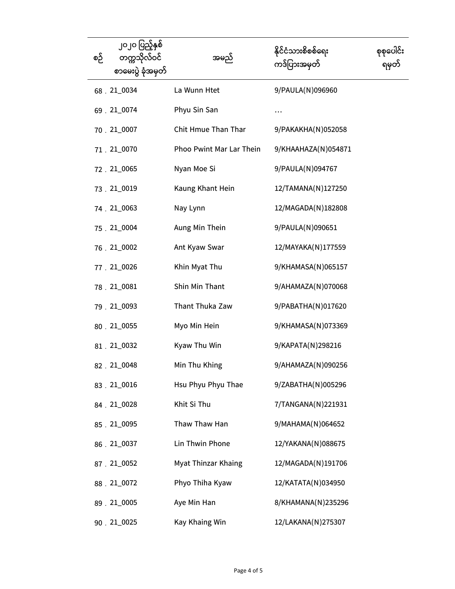| စဉ် | ၂၀၂၀ ပြည့်နှစ်<br>တက္ကသိုလ်ဝင်<br>စာမေးပွဲ ခုံအမှတ် | အမည်                     | နိုင်ငံသားစိစစ်ရေး<br>ကဒ်ပြားအမှတ် | စုစုပေါင်း<br>ရမှတ် |
|-----|-----------------------------------------------------|--------------------------|------------------------------------|---------------------|
|     | 68.21_0034                                          | La Wunn Htet             | 9/PAULA(N)096960                   |                     |
|     | 69.21_0074                                          | Phyu Sin San             | $\cdots$                           |                     |
|     | 70.21_0007                                          | Chit Hmue Than Thar      | 9/PAKAKHA(N)052058                 |                     |
|     | 71.21_0070                                          | Phoo Pwint Mar Lar Thein | 9/KHAAHAZA(N)054871                |                     |
|     | 72.21_0065                                          | Nyan Moe Si              | 9/PAULA(N)094767                   |                     |
|     | 73.21_0019                                          | Kaung Khant Hein         | 12/TAMANA(N)127250                 |                     |
|     | 74.21_0063                                          | Nay Lynn                 | 12/MAGADA(N)182808                 |                     |
|     | 75.21_0004                                          | Aung Min Thein           | 9/PAULA(N)090651                   |                     |
|     | 76.21_0002                                          | Ant Kyaw Swar            | 12/MAYAKA(N)177559                 |                     |
|     | 77.21_0026                                          | Khin Myat Thu            | 9/KHAMASA(N)065157                 |                     |
|     | 78.21_0081                                          | Shin Min Thant           | 9/AHAMAZA(N)070068                 |                     |
|     | 79.21_0093                                          | Thant Thuka Zaw          | 9/PABATHA(N)017620                 |                     |
|     | 80.21_0055                                          | Myo Min Hein             | 9/KHAMASA(N)073369                 |                     |
|     | 81.21_0032                                          | Kyaw Thu Win             | 9/KAPATA(N)298216                  |                     |
|     | 82.21_0048                                          | Min Thu Khing            | 9/AHAMAZA(N)090256                 |                     |
|     | 83.21_0016                                          | Hsu Phyu Phyu Thae       | 9/ZABATHA(N)005296                 |                     |
|     | 84.21_0028                                          | Khit Si Thu              | 7/TANGANA(N)221931                 |                     |
|     | 85.21_0095                                          | Thaw Thaw Han            | 9/MAHAMA(N)064652                  |                     |
|     | 86.21_0037                                          | Lin Thwin Phone          | 12/YAKANA(N)088675                 |                     |
|     | 87.21_0052                                          | Myat Thinzar Khaing      | 12/MAGADA(N)191706                 |                     |
|     | 88.21_0072                                          | Phyo Thiha Kyaw          | 12/KATATA(N)034950                 |                     |
|     | 89.21_0005                                          | Aye Min Han              | 8/KHAMANA(N)235296                 |                     |
|     | 90.21_0025                                          | Kay Khaing Win           | 12/LAKANA(N)275307                 |                     |